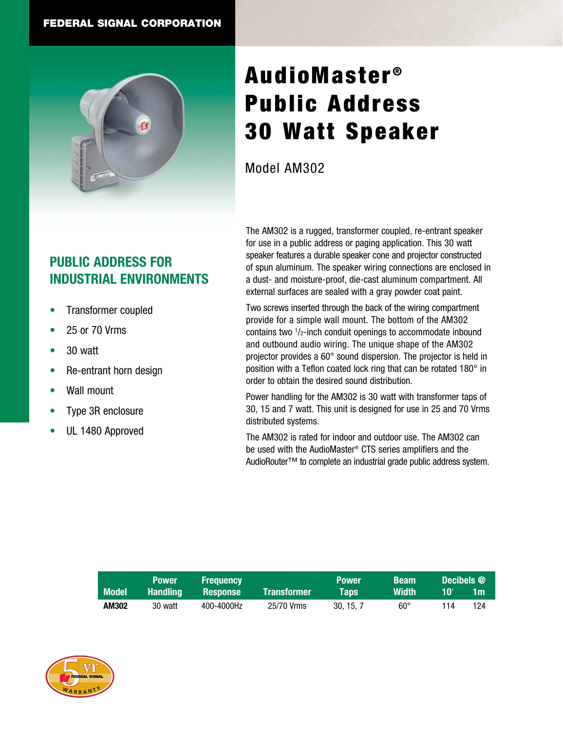## FEDERAL SIGNAL CORPORATION



# AudioMaster<sup>®</sup> Public Address 30 Watt Speaker

Model AM302

## **PUBLIC ADDRESS FOR INDUSTRIAL ENVIRONMENTS**

- Transformer coupled
- 25 or 70 Vrms
- 30 watt
- Re-entrant horn design
- Wall mount
- Type 3R enclosure
- UL 1480 Approved

The AM302 is a rugged, transformer coupled, re-entrant speaker for use in a public address or paging application. This 30 watt speaker features a durable speaker cone and projector constructed of spun aluminum. The speaker wiring connections are enclosed in a dust- and moisture-proof, die-cast aluminum compartment. All external surfaces are sealed with a gray powder coat paint.

Two screws inserted through the back of the wiring compartment provide for a simple wall mount. The bottom of the AM302 contains two 1/2-inch conduit openings to accommodate inbound and outbound audio wiring. The unique shape of the AM302 projector provides a 60° sound dispersion. The projector is held in position with a Teflon coated lock ring that can be rotated 180° in order to obtain the desired sound distribution.

Power handling for the AM302 is 30 watt with transformer taps of 30, 15 and 7 watt. This unit is designed for use in 25 and 70 Vrms distributed systems.

The AM302 is rated for indoor and outdoor use. The AM302 can be used with the AudioMaster® CTS series amplifiers and the AudioRouter™ to complete an industrial grade public address system.

|              | <b>Power</b>    | <b>Frequency</b> |              | <b>Power</b> | <b>Beam</b>  |     | <b>Decibels</b> @ |
|--------------|-----------------|------------------|--------------|--------------|--------------|-----|-------------------|
| <b>Model</b> | <b>Handling</b> | <b>Response</b>  | :Transformer | <b>Tans</b>  | <b>Width</b> |     | 1m                |
| AM302        | 30 watt         | 400-4000Hz       | 25/70 Vrms   | 30.15.7      | $60^\circ$   | 114 | 124               |